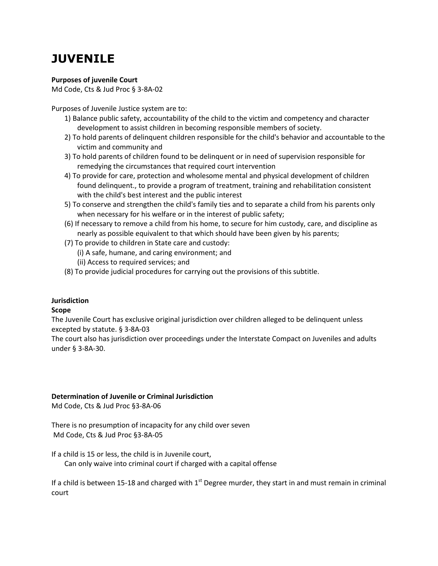# **JUVENILE**

# **Purposes of juvenile Court**

Md Code, Cts & Jud Proc § 3-8A-02

Purposes of Juvenile Justice system are to:

- 1) Balance public safety, accountability of the child to the victim and competency and character development to assist children in becoming responsible members of society.
- 2) To hold parents of delinquent children responsible for the child's behavior and accountable to the victim and community and
- 3) To hold parents of children found to be delinquent or in need of supervision responsible for remedying the circumstances that required court intervention
- 4) To provide for care, protection and wholesome mental and physical development of children found delinquent., to provide a program of treatment, training and rehabilitation consistent with the child's best interest and the public interest
- 5) To conserve and strengthen the child's family ties and to separate a child from his parents only when necessary for his welfare or in the interest of public safety;
- (6) If necessary to remove a child from his home, to secure for him custody, care, and discipline as nearly as possible equivalent to that which should have been given by his parents;
- (7) To provide to children in State care and custody:
	- (i) A safe, humane, and caring environment; and
	- (ii) Access to required services; and
- (8) To provide judicial procedures for carrying out the provisions of this subtitle.

# **Jurisdiction**

# **Scope**

The Juvenile Court has exclusive original jurisdiction over children alleged to be delinquent unless excepted by statute. § 3-8A-03

The court also has jurisdiction over proceedings under the Interstate Compact on Juveniles and adults under § 3-8A-30.

# **Determination of Juvenile or Criminal Jurisdiction**

Md Code, Cts & Jud Proc §3-8A-06

There is no presumption of incapacity for any child over seven Md Code, Cts & Jud Proc §3-8A-05

If a child is 15 or less, the child is in Juvenile court,

Can only waive into criminal court if charged with a capital offense

If a child is between 15-18 and charged with  $1<sup>st</sup>$  Degree murder, they start in and must remain in criminal court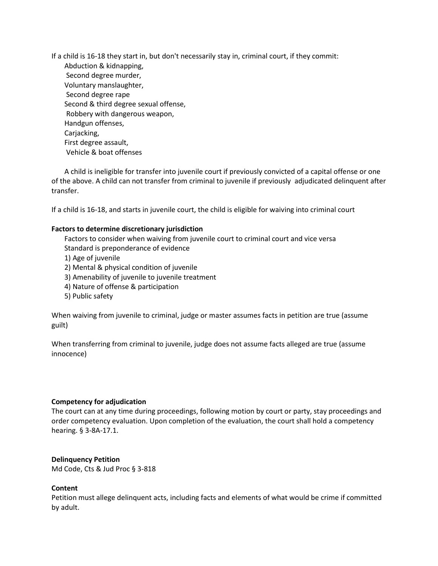If a child is 16-18 they start in, but don't necessarily stay in, criminal court, if they commit: Abduction & kidnapping, Second degree murder, Voluntary manslaughter, Second degree rape Second & third degree sexual offense, Robbery with dangerous weapon, Handgun offenses, Carjacking, First degree assault, Vehicle & boat offenses

A child is ineligible for transfer into juvenile court if previously convicted of a capital offense or one of the above. A child can not transfer from criminal to juvenile if previously adjudicated delinquent after transfer.

If a child is 16-18, and starts in juvenile court, the child is eligible for waiving into criminal court

#### **Factors to determine discretionary jurisdiction**

Factors to consider when waiving from juvenile court to criminal court and vice versa Standard is preponderance of evidence

- 1) Age of juvenile
- 2) Mental & physical condition of juvenile
- 3) Amenability of juvenile to juvenile treatment
- 4) Nature of offense & participation
- 5) Public safety

When waiving from juvenile to criminal, judge or master assumes facts in petition are true (assume guilt)

When transferring from criminal to juvenile, judge does not assume facts alleged are true (assume innocence)

#### **Competency for adjudication**

The court can at any time during proceedings, following motion by court or party, stay proceedings and order competency evaluation. Upon completion of the evaluation, the court shall hold a competency hearing. § 3-8A-17.1.

#### **Delinquency Petition**

Md Code, Cts & Jud Proc § 3-818

#### **Content**

Petition must allege delinquent acts, including facts and elements of what would be crime if committed by adult.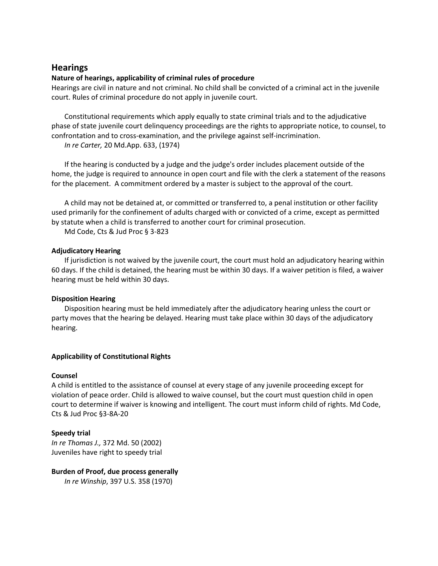# **Hearings**

#### **Nature of hearings, applicability of criminal rules of procedure**

Hearings are civil in nature and not criminal. No child shall be convicted of a criminal act in the juvenile court. Rules of criminal procedure do not apply in juvenile court.

Constitutional requirements which apply equally to state criminal trials and to the adjudicative phase of state juvenile court delinquency proceedings are the rights to appropriate notice, to counsel, to confrontation and to cross-examination, and the privilege against self-incrimination.

*In re Carter,* 20 Md.App. 633, (1974)

If the hearing is conducted by a judge and the judge's order includes placement outside of the home, the judge is required to announce in open court and file with the clerk a statement of the reasons for the placement. A commitment ordered by a master is subject to the approval of the court.

A child may not be detained at, or committed or transferred to, a penal institution or other facility used primarily for the confinement of adults charged with or convicted of a crime, except as permitted by statute when a child is transferred to another court for criminal prosecution.

Md Code, Cts & Jud Proc § 3-823

#### **Adjudicatory Hearing**

If jurisdiction is not waived by the juvenile court, the court must hold an adjudicatory hearing within 60 days. If the child is detained, the hearing must be within 30 days. If a waiver petition is filed, a waiver hearing must be held within 30 days.

# **Disposition Hearing**

Disposition hearing must be held immediately after the adjudicatory hearing unless the court or party moves that the hearing be delayed. Hearing must take place within 30 days of the adjudicatory hearing.

# **Applicability of Constitutional Rights**

#### **Counsel**

A child is entitled to the assistance of counsel at every stage of any juvenile proceeding except for violation of peace order. Child is allowed to waive counsel, but the court must question child in open court to determine if waiver is knowing and intelligent. The court must inform child of rights. Md Code, Cts & Jud Proc §3-8A-20

# **Speedy trial**

*In re Thomas J.,* 372 Md. 50 (2002) Juveniles have right to speedy trial

# **Burden of Proof, due process generally**

*In re Winship*, 397 U.S. 358 (1970)